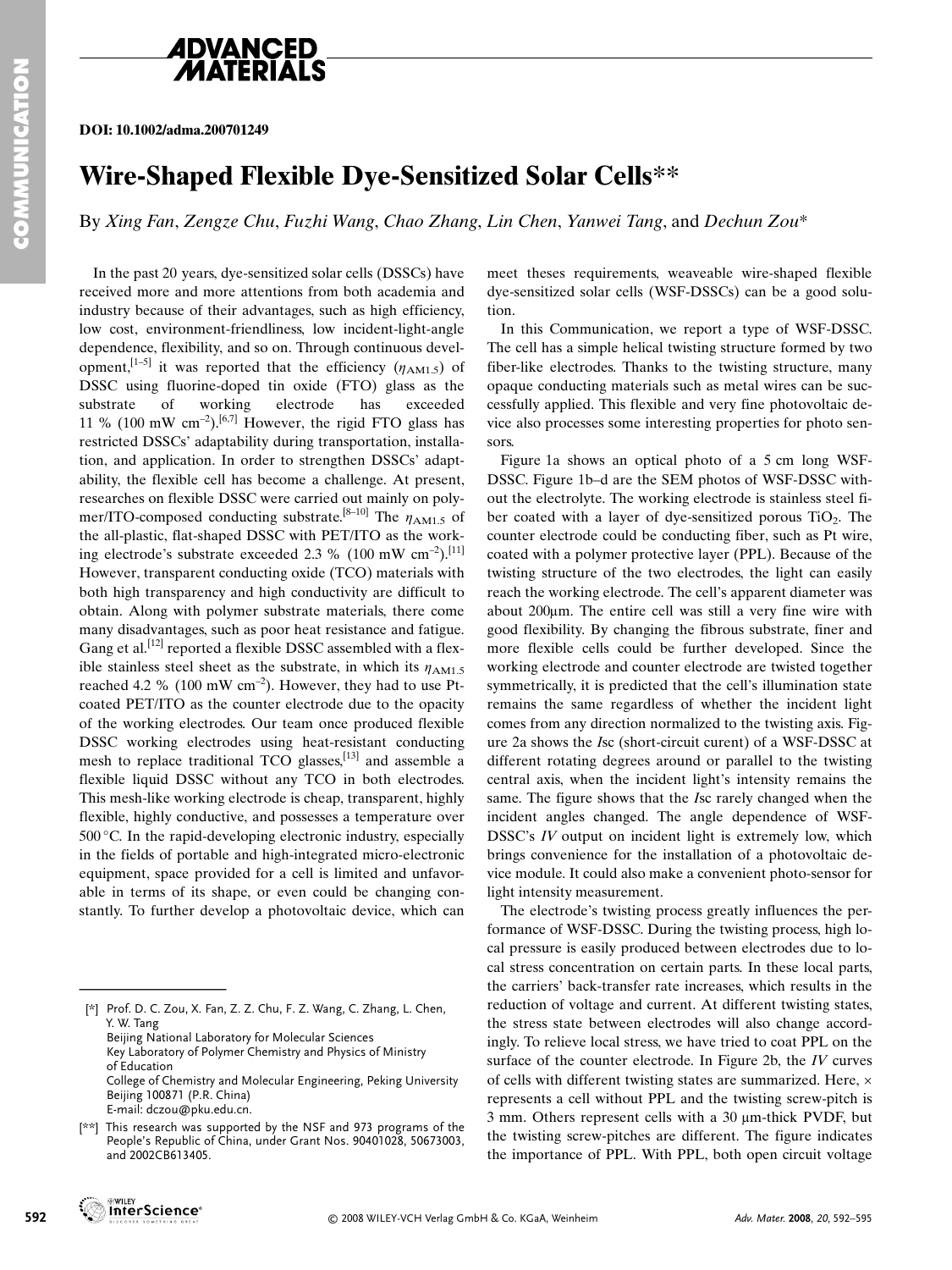

## **ADVANCED**

**DOI: 10.1002/adma.200701249**

## **Wire-Shaped Flexible Dye-Sensitized Solar Cells\*\***

By *Xing Fan*, *Zengze Chu*, *Fuzhi Wang*, *Chao Zhang*, *Lin Chen*, *Yanwei Tang*, and *Dechun Zou*\*

In the past 20 years, dye-sensitized solar cells (DSSCs) have received more and more attentions from both academia and industry because of their advantages, such as high efficiency, low cost, environment-friendliness, low incident-light-angle dependence, flexibility, and so on. Through continuous development,<sup>[1–5]</sup> it was reported that the efficiency  $(\eta_{AM1.5})$  of DSSC using fluorine-doped tin oxide (FTO) glass as the substrate of working electrode has exceeded 11 % (100 mW cm<sup>-2</sup>).<sup>[6,7]</sup> However, the rigid FTO glass has restricted DSSCs' adaptability during transportation, installation, and application. In order to strengthen DSSCs' adaptability, the flexible cell has become a challenge. At present, researches on flexible DSSC were carried out mainly on polymer/ITO-composed conducting substrate.<sup>[8–10]</sup> The  $\eta_{AM1.5}$  of the all-plastic, flat-shaped DSSC with PET/ITO as the working electrode's substrate exceeded 2.3 % (100 mW  $\text{cm}^{-2}$ ).<sup>[11]</sup> However, transparent conducting oxide (TCO) materials with both high transparency and high conductivity are difficult to obtain. Along with polymer substrate materials, there come many disadvantages, such as poor heat resistance and fatigue. Gang et al.<sup>[12]</sup> reported a flexible DSSC assembled with a flexible stainless steel sheet as the substrate, in which its  $\eta_{AM1.5}$ reached 4.2 % (100 mW  $cm^{-2}$ ). However, they had to use Ptcoated PET/ITO as the counter electrode due to the opacity of the working electrodes. Our team once produced flexible DSSC working electrodes using heat-resistant conducting mesh to replace traditional TCO glasses,[13] and assemble a flexible liquid DSSC without any TCO in both electrodes. This mesh-like working electrode is cheap, transparent, highly flexible, highly conductive, and possesses a temperature over 500 °C. In the rapid-developing electronic industry, especially in the fields of portable and high-integrated micro-electronic equipment, space provided for a cell is limited and unfavorable in terms of its shape, or even could be changing constantly. To further develop a photovoltaic device, which can flexible liquid DSSC v<br>This mesh-like working<br>flexible, highly conduct<br>500 °C. In the rapid-dev<br>in the fields of portable<br>equipment, space provi<br>able in terms of its sh.<br>stantly. To further deve<br>katantly. To further deve<br>K

meet theses requirements, weaveable wire-shaped flexible dye-sensitized solar cells (WSF-DSSCs) can be a good solution.

In this Communication, we report a type of WSF-DSSC. The cell has a simple helical twisting structure formed by two fiber-like electrodes. Thanks to the twisting structure, many opaque conducting materials such as metal wires can be successfully applied. This flexible and very fine photovoltaic device also processes some interesting properties for photo sensors.

Figure 1a shows an optical photo of a 5 cm long WSF-DSSC. Figure 1b–d are the SEM photos of WSF-DSSC without the electrolyte. The working electrode is stainless steel fiber coated with a layer of dye-sensitized porous  $TiO<sub>2</sub>$ . The counter electrode could be conducting fiber, such as Pt wire, coated with a polymer protective layer (PPL). Because of the twisting structure of the two electrodes, the light can easily reach the working electrode. The cell's apparent diameter was about  $200\mu$ m. The entire cell was still a very fine wire with good flexibility. By changing the fibrous substrate, finer and more flexible cells could be further developed. Since the working electrode and counter electrode are twisted together symmetrically, it is predicted that the cell's illumination state remains the same regardless of whether the incident light comes from any direction normalized to the twisting axis. Figure 2a shows the *I*sc (short-circuit curent) of a WSF-DSSC at different rotating degrees around or parallel to the twisting central axis, when the incident light's intensity remains the same. The figure shows that the *I*sc rarely changed when the incident angles changed. The angle dependence of WSF-DSSC's *IV* output on incident light is extremely low, which brings convenience for the installation of a photovoltaic device module. It could also make a convenient photo-sensor for light intensity measurement.

The electrode's twisting process greatly influences the performance of WSF-DSSC. During the twisting process, high local pressure is easily produced between electrodes due to local stress concentration on certain parts. In these local parts, the carriers' back-transfer rate increases, which results in the reduction of voltage and current. At different twisting states, the stress state between electrodes will also change accordingly. To relieve local stress, we have tried to coat PPL on the surface of the counter electrode. In Figure 2b, the *IV* curves of cells with different twisting states are summarized. Here, × represents a cell without PPL and the twisting screw-pitch is  $3$  mm. Others represent cells with a  $30 \mu$ m-thick PVDF, but the twisting screw-pitches are different. The figure indicates the importance of PPL. With PPL, both open circuit voltage

**GAWLEY** 

<sup>[\*]</sup> Prof. D. C. Zou, X. Fan, Z. Z. Chu, F. Z. Wang, C. Zhang, L. Chen, Y. W. Tang Beijing National Laboratory for Molecular Sciences Key Laboratory of Polymer Chemistry and Physics of Ministry of Education College of Chemistry and Molecular Engineering, Peking University Beijing 100871 (P.R. China)

E-mail: dczou@pku.edu.cn. [\*\*] This research was supported by the NSF and 973 programs of the People's Republic of China, under Grant Nos. 90401028, 50673003, and 2002CB613405.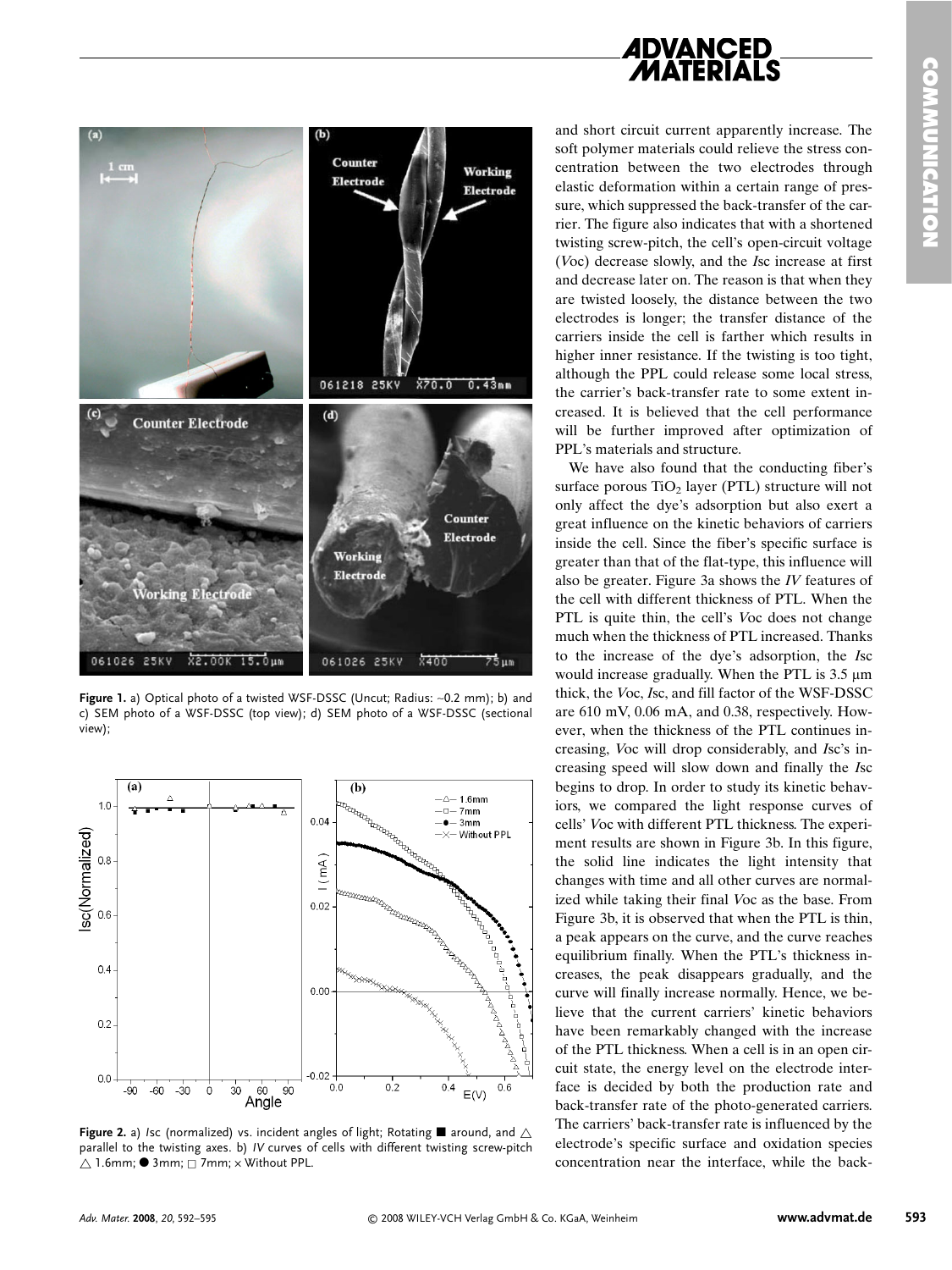



**Figure 1.** a) Optical photo of a twisted WSF-DSSC (Uncut; Radius: ∼0.2 mm); b) and c) SEM photo of a WSF-DSSC (top view); d) SEM photo of a WSF-DSSC (sectional view);



**Figure 2.** a) *Isc* (normalized) vs. incident angles of light; Rotating  $\blacksquare$  around, and  $\triangle$ parallel to the twisting axes. b) *IV* curves of cells with different twisting screw-pitch  $\bigtriangleup$  1.6mm;  $\bullet$  3mm;  $\Box$  7mm;  $\times$  Without PPL.

and short circuit current apparently increase. The soft polymer materials could relieve the stress concentration between the two electrodes through elastic deformation within a certain range of pressure, which suppressed the back-transfer of the carrier. The figure also indicates that with a shortened twisting screw-pitch, the cell's open-circuit voltage (*V*oc) decrease slowly, and the *I*sc increase at first and decrease later on. The reason is that when they are twisted loosely, the distance between the two electrodes is longer; the transfer distance of the carriers inside the cell is farther which results in higher inner resistance. If the twisting is too tight, although the PPL could release some local stress, the carrier's back-transfer rate to some extent increased. It is believed that the cell performance will be further improved after optimization of PPL's materials and structure.

We have also found that the conducting fiber's surface porous  $TiO<sub>2</sub>$  layer (PTL) structure will not only affect the dye's adsorption but also exert a great influence on the kinetic behaviors of carriers inside the cell. Since the fiber's specific surface is greater than that of the flat-type, this influence will also be greater. Figure 3a shows the *IV* features of the cell with different thickness of PTL. When the PTL is quite thin, the cell's *V*oc does not change much when the thickness of PTL increased. Thanks to the increase of the dye's adsorption, the *I*sc would increase gradually. When the PTL is  $3.5 \mu m$ thick, the *V*oc, *I*sc, and fill factor of the WSF-DSSC are 610 mV, 0.06 mA, and 0.38, respectively. However, when the thickness of the PTL continues increasing, *V*oc will drop considerably, and *I*sc's increasing speed will slow down and finally the *I*sc begins to drop. In order to study its kinetic behaviors, we compared the light response curves of cells' *V*oc with different PTL thickness. The experiment results are shown in Figure 3b. In this figure, the solid line indicates the light intensity that changes with time and all other curves are normalized while taking their final *V*oc as the base. From Figure 3b, it is observed that when the PTL is thin, a peak appears on the curve, and the curve reaches equilibrium finally. When the PTL's thickness increases, the peak disappears gradually, and the curve will finally increase normally. Hence, we believe that the current carriers' kinetic behaviors have been remarkably changed with the increase of the PTL thickness. When a cell is in an open circuit state, the energy level on the electrode interface is decided by both the production rate and back-transfer rate of the photo-generated carriers. The carriers' back-transfer rate is influenced by the electrode's specific surface and oxidation species concentration near the interface, while the back-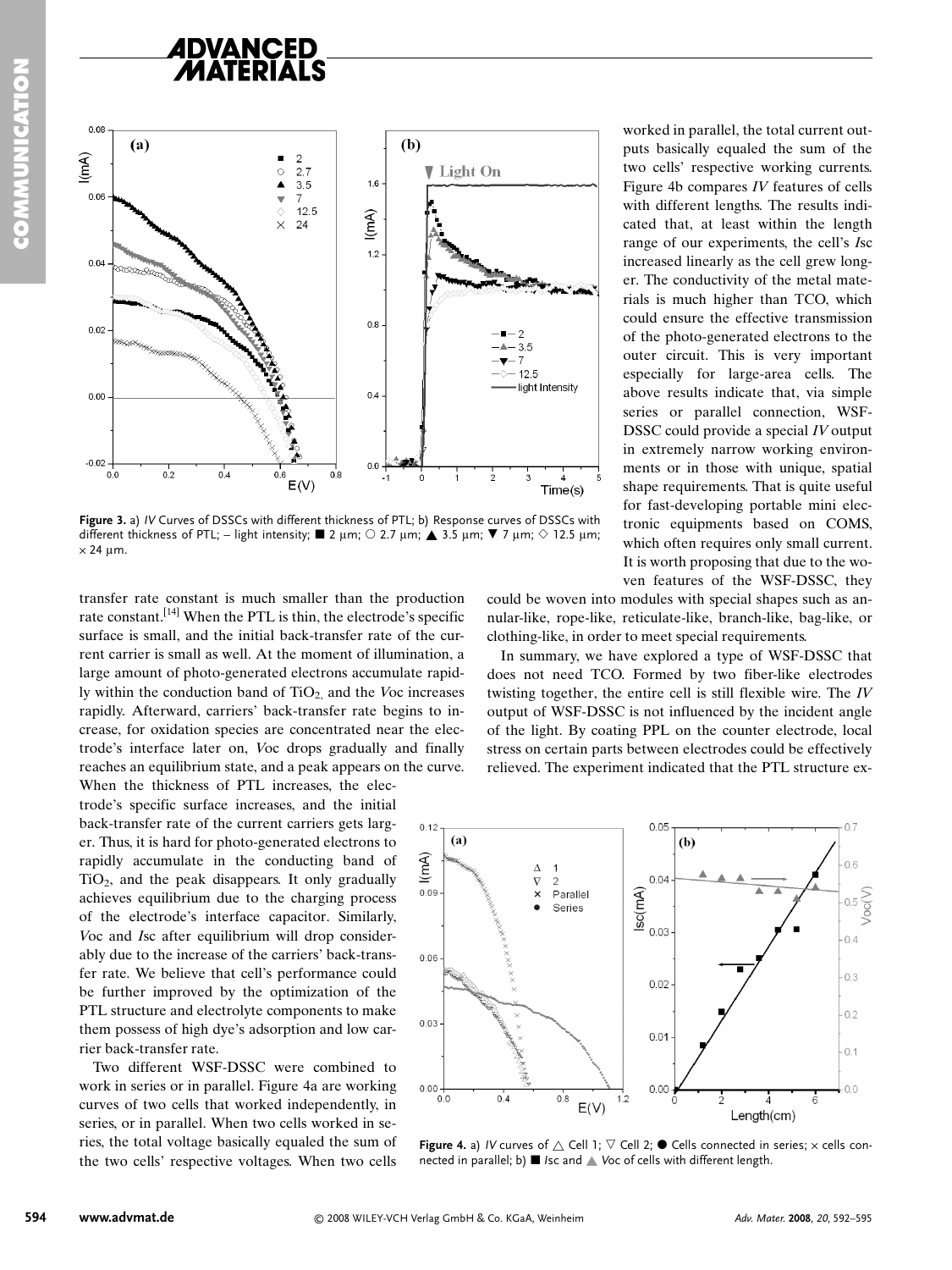## **4DVANCED**



**Figure 3.** a) *IV* Curves of DSSCs with different thickness of PTL; b) Response curves of DSSCs with different thickness of PTL; – light intensity;  $\blacksquare$  2 µm;  $\bigcirc$  2.7 µm;  $\blacktriangle$  3.5 µm;  $\nabla$  7 µm;  $\Diamond$  12.5 µm;  $\times$  24 µm.

transfer rate constant is much smaller than the production rate constant.[14] When the PTL is thin, the electrode's specific surface is small, and the initial back-transfer rate of the current carrier is small as well. At the moment of illumination, a large amount of photo-generated electrons accumulate rapidly within the conduction band of TiO<sub>2</sub> and the *V*oc increases rapidly. Afterward, carriers' back-transfer rate begins to increase, for oxidation species are concentrated near the electrode's interface later on, *V*oc drops gradually and finally reaches an equilibrium state, and a peak appears on the curve. When the thickness of PTL increases, the elec-

trode's specific surface increases, and the initial back-transfer rate of the current carriers gets larger. Thus, it is hard for photo-generated electrons to rapidly accumulate in the conducting band of  $TiO<sub>2</sub>$ , and the peak disappears. It only gradually achieves equilibrium due to the charging process of the electrode's interface capacitor. Similarly, *V*oc and *I*sc after equilibrium will drop considerably due to the increase of the carriers' back-transfer rate. We believe that cell's performance could be further improved by the optimization of the PTL structure and electrolyte components to make them possess of high dye's adsorption and low carrier back-transfer rate.

Two different WSF-DSSC were combined to work in series or in parallel. Figure 4a are working curves of two cells that worked independently, in series, or in parallel. When two cells worked in series, the total voltage basically equaled the sum of the two cells' respective voltages. When two cells

worked in parallel, the total current outputs basically equaled the sum of the two cells' respective working currents. Figure 4b compares *IV* features of cells with different lengths. The results indicated that, at least within the length range of our experiments, the cell's *I*sc increased linearly as the cell grew longer. The conductivity of the metal materials is much higher than TCO, which could ensure the effective transmission of the photo-generated electrons to the outer circuit. This is very important especially for large-area cells. The above results indicate that, via simple series or parallel connection, WSF-DSSC could provide a special *IV* output in extremely narrow working environments or in those with unique, spatial shape requirements. That is quite useful for fast-developing portable mini electronic equipments based on COMS, which often requires only small current. It is worth proposing that due to the woven features of the WSF-DSSC, they

could be woven into modules with special shapes such as annular-like, rope-like, reticulate-like, branch-like, bag-like, or clothing-like, in order to meet special requirements.

In summary, we have explored a type of WSF-DSSC that does not need TCO. Formed by two fiber-like electrodes twisting together, the entire cell is still flexible wire. The *IV* output of WSF-DSSC is not influenced by the incident angle of the light. By coating PPL on the counter electrode, local stress on certain parts between electrodes could be effectively relieved. The experiment indicated that the PTL structure ex-



**Figure 4.** a) *IV* curves of  $\triangle$  Cell 1;  $\triangledown$  Cell 2;  $\bullet$  Cells connected in series;  $\times$  cells connected in parallel; b) ■ *Isc* and ▲ *Voc of cells with different length.*